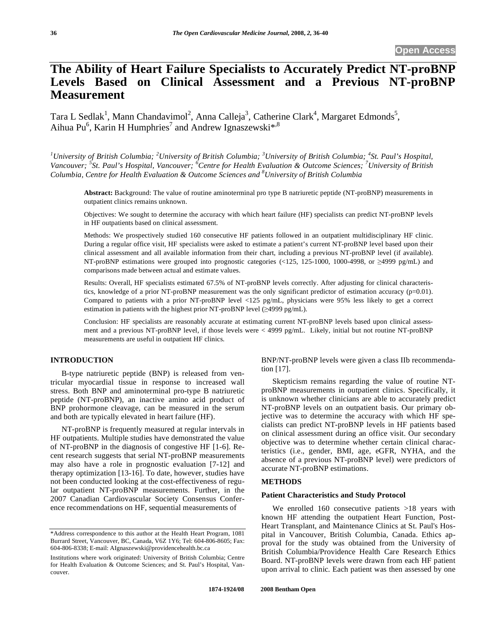# **The Ability of Heart Failure Specialists to Accurately Predict NT-proBNP Levels Based on Clinical Assessment and a Previous NT-proBNP Measurement**

Tara L Sedlak<sup>1</sup>, Mann Chandavimol<sup>2</sup>, Anna Calleja<sup>3</sup>, Catherine Clark<sup>4</sup>, Margaret Edmonds<sup>5</sup>, Aihua Pu<sup>6</sup>, Karin H Humphries<sup>7</sup> and Andrew Ignaszewski<sup>\*,8</sup>

*1 University of British Columbia; <sup>2</sup> University of British Columbia; <sup>3</sup> University of British Columbia; <sup>4</sup> St. Paul's Hospital,*  Vancouver; <sup>5</sup>St. Paul's Hospital, Vancouver; <sup>*6*</sup> Centre for Health Evaluation & Outcome Sciences; <sup>7</sup> University of British *Columbia, Centre for Health Evaluation & Outcome Sciences and 8 University of British Columbia* 

**Abstract:** Background: The value of routine aminoterminal pro type B natriuretic peptide (NT-proBNP) measurements in outpatient clinics remains unknown.

Objectives: We sought to determine the accuracy with which heart failure (HF) specialists can predict NT-proBNP levels in HF outpatients based on clinical assessment.

Methods: We prospectively studied 160 consecutive HF patients followed in an outpatient multidisciplinary HF clinic. During a regular office visit, HF specialists were asked to estimate a patient's current NT-proBNP level based upon their clinical assessment and all available information from their chart, including a previous NT-proBNP level (if available). NT-proBNP estimations were grouped into prognostic categories  $\langle 125, 125-1000, 1000-4998,$  or  $\geq 4999$  pg/mL) and comparisons made between actual and estimate values.

Results: Overall, HF specialists estimated 67.5% of NT-proBNP levels correctly. After adjusting for clinical characteristics, knowledge of a prior NT-proBNP measurement was the only significant predictor of estimation accuracy (p=0.01). Compared to patients with a prior NT-proBNP level <125 pg/mL, physicians were 95% less likely to get a correct estimation in patients with the highest prior NT-proBNP level  $(\geq 4999 \text{ pg/mL})$ .

Conclusion: HF specialists are reasonably accurate at estimating current NT-proBNP levels based upon clinical assessment and a previous NT-proBNP level, if those levels were < 4999 pg/mL. Likely, initial but not routine NT-proBNP measurements are useful in outpatient HF clinics.

## **INTRODUCTION**

B-type natriuretic peptide (BNP) is released from ventricular myocardial tissue in response to increased wall stress. Both BNP and aminoterminal pro-type B natriuretic peptide (NT-proBNP), an inactive amino acid product of BNP prohormone cleavage, can be measured in the serum and both are typically elevated in heart failure (HF).

NT-proBNP is frequently measured at regular intervals in HF outpatients. Multiple studies have demonstrated the value of NT-proBNP in the diagnosis of congestive HF [1-6]. Recent research suggests that serial NT-proBNP measurements may also have a role in prognostic evaluation [7-12] and therapy optimization [13-16]. To date, however, studies have not been conducted looking at the cost-effectiveness of regular outpatient NT-proBNP measurements. Further, in the 2007 Canadian Cardiovascular Society Consensus Conference recommendations on HF, sequential measurements of

BNP/NT-proBNP levels were given a class IIb recommendation [17].

Skepticism remains regarding the value of routine NTproBNP measurements in outpatient clinics. Specifically, it is unknown whether clinicians are able to accurately predict NT-proBNP levels on an outpatient basis. Our primary objective was to determine the accuracy with which HF specialists can predict NT-proBNP levels in HF patients based on clinical assessment during an office visit. Our secondary objective was to determine whether certain clinical characteristics (i.e., gender, BMI, age, eGFR, NYHA, and the absence of a previous NT-proBNP level) were predictors of accurate NT-proBNP estimations.

## **METHODS**

### **Patient Characteristics and Study Protocol**

We enrolled 160 consecutive patients >18 years with known HF attending the outpatient Heart Function, Post-Heart Transplant, and Maintenance Clinics at St. Paul's Hospital in Vancouver, British Columbia, Canada. Ethics approval for the study was obtained from the University of British Columbia/Providence Health Care Research Ethics Board. NT-proBNP levels were drawn from each HF patient upon arrival to clinic. Each patient was then assessed by one

<sup>\*</sup>Address correspondence to this author at the Health Heart Program, 1081 Burrard Street, Vancouver, BC, Canada, V6Z 1Y6; Tel: 604-806-8605; Fax: 604-806-8338; E-mail: AIgnaszewski@providencehealth.bc.ca

Institutions where work originated: University of British Columbia; Centre for Health Evaluation & Outcome Sciences; and St. Paul's Hospital, Vancouver.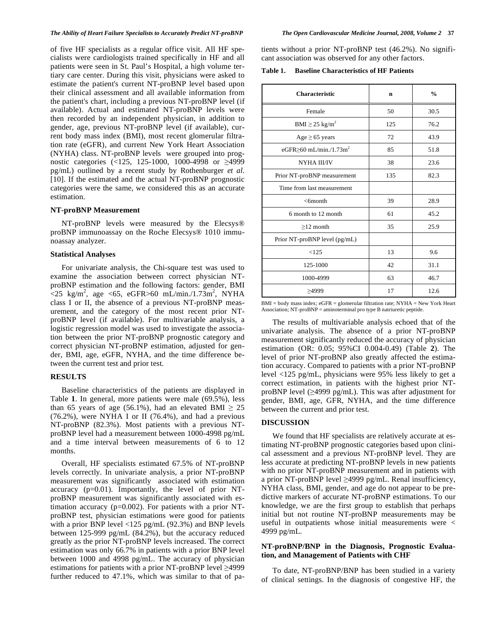#### *The Ability of Heart Failure Specialists to Accurately Predict NT-proBNP The Open Cardiovascular Medicine Journal, 2008, Volume 2* **37**

of five HF specialists as a regular office visit. All HF specialists were cardiologists trained specifically in HF and all patients were seen in St. Paul's Hospital, a high volume tertiary care center. During this visit, physicians were asked to estimate the patient's current NT-proBNP level based upon their clinical assessment and all available information from the patient's chart, including a previous NT-proBNP level (if available). Actual and estimated NT-proBNP levels were then recorded by an independent physician, in addition to gender, age, previous NT-proBNP level (if available), current body mass index (BMI), most recent glomerular filtration rate (eGFR), and current New York Heart Association (NYHA) class. NT-proBNP levels were grouped into prognostic categories (<125, 125-1000, 1000-4998 or  $\geq$ 4999 pg/mL) outlined by a recent study by Rothenburger *et al*. [10]. If the estimated and the actual NT-proBNP prognostic categories were the same, we considered this as an accurate estimation.

## **NT-proBNP Measurement**

NT-proBNP levels were measured by the Elecsys® proBNP immunoassay on the Roche Elecsys® 1010 immunoassay analyzer.

#### **Statistical Analyses**

For univariate analysis, the Chi-square test was used to examine the association between correct physician NTproBNP estimation and the following factors: gender, BMI  $\sim$ 25 kg/m<sup>2</sup>, age <65, eGFR>60 mL/min./1.73m<sup>2</sup>, NYHA class I or II, the absence of a previous NT-proBNP measurement, and the category of the most recent prior NTproBNP level (if available). For multivariable analysis, a logistic regression model was used to investigate the association between the prior NT-proBNP prognostic category and correct physician NT-proBNP estimation, adjusted for gender, BMI, age, eGFR, NYHA, and the time difference between the current test and prior test.

#### **RESULTS**

Baseline characteristics of the patients are displayed in Table **1**. In general, more patients were male (69.5%), less than 65 years of age (56.1%), had an elevated BMI  $\geq 25$  $(76.2\%)$ , were NYHA I or II  $(76.4\%)$ , and had a previous NT-proBNP (82.3%). Most patients with a previous NTproBNP level had a measurement between 1000-4998 pg/mL and a time interval between measurements of 6 to 12 months.

Overall, HF specialists estimated 67.5% of NT-proBNP levels correctly. In univariate analysis, a prior NT-proBNP measurement was significantly associated with estimation accuracy (p=0.01). Importantly, the level of prior NTproBNP measurement was significantly associated with estimation accuracy (p=0.002). For patients with a prior NTproBNP test, physician estimations were good for patients with a prior BNP level <125 pg/mL (92.3%) and BNP levels between 125-999 pg/mL (84.2%), but the accuracy reduced greatly as the prior NT-proBNP levels increased. The correct estimation was only 66.7% in patients with a prior BNP level between 1000 and 4998 pg/mL. The accuracy of physician estimations for patients with a prior NT-proBNP level  $\geq$ 4999 further reduced to 47.1%, which was similar to that of patients without a prior NT-proBNP test (46.2%). No significant association was observed for any other factors.

**Table 1. Baseline Characteristics of HF Patients** 

| <b>Characteristic</b>                     | $\mathbf n$ | $\frac{0}{0}$ |
|-------------------------------------------|-------------|---------------|
| Female                                    | 50          | 30.5          |
| $\text{BMI} \geq 25 \text{ kg/m}^2$       | 125         | 76.2          |
| $Age \geq 65$ years                       | 72          | 43.9          |
| eGFR $\geq$ 60 mL/min./1.73m <sup>2</sup> | 85          | 51.8          |
| NYHA III/IV                               | 38          | 23.6          |
| Prior NT-proBNP measurement               | 135         | 82.3          |
| Time from last measurement                |             |               |
| $<$ 6month                                | 39          | 28.9          |
| 6 month to 12 month                       | 61          | 45.2          |
| $>12$ month                               | 35          | 25.9          |
| Prior NT-proBNP level (pg/mL)             |             |               |
| <125                                      | 13          | 9.6           |
| 125-1000                                  | 42          | 31.1          |
| 1000-4999                                 | 63          | 46.7          |
| >4999                                     | 17          | 12.6          |

BMI = body mass index; eGFR = glomerular filtration rate; NYHA = New York Heart Association; NT-proBNP = aminoterminal pro type B natriuretic peptide.

The results of multivariable analysis echoed that of the univariate analysis. The absence of a prior NT-proBNP measurement significantly reduced the accuracy of physician estimation (OR: 0.05; 95%CI 0.004-0.49) (Table **2**). The level of prior NT-proBNP also greatly affected the estimation accuracy. Compared to patients with a prior NT-proBNP level <125 pg/mL, physicians were 95% less likely to get a correct estimation, in patients with the highest prior NTproBNP level  $(\geq 4999 \text{ pg/mL})$ . This was after adjustment for gender, BMI, age, GFR, NYHA, and the time difference between the current and prior test.

#### **DISCUSSION**

We found that HF specialists are relatively accurate at estimating NT-proBNP prognostic categories based upon clinical assessment and a previous NT-proBNP level. They are less accurate at predicting NT-proBNP levels in new patients with no prior NT-proBNP measurement and in patients with a prior NT-proBNP level  $\geq$ 4999 pg/mL. Renal insufficiency, NYHA class, BMI, gender, and age do not appear to be predictive markers of accurate NT-proBNP estimations. To our knowledge, we are the first group to establish that perhaps initial but not routine NT-proBNP measurements may be useful in outpatients whose initial measurements were < 4999 pg/mL.

## **NT-proBNP/BNP in the Diagnosis, Prognostic Evaluation, and Management of Patients with CHF**

To date, NT-proBNP/BNP has been studied in a variety of clinical settings. In the diagnosis of congestive HF, the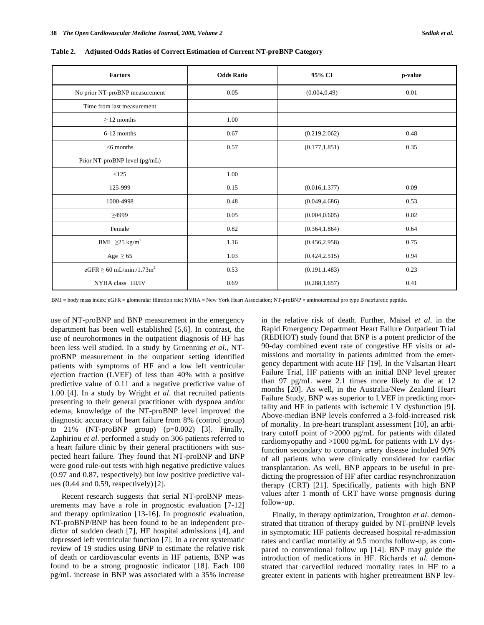| <b>Factors</b>                           | <b>Odds Ratio</b> | 95% CI         | p-value |
|------------------------------------------|-------------------|----------------|---------|
| No prior NT-proBNP measurement           | 0.05              | (0.004, 0.49)  | 0.01    |
| Time from last measurement               |                   |                |         |
| $\geq$ 12 months                         | 1.00              |                |         |
| 6-12 months                              | 0.67              | (0.219, 2.062) | 0.48    |
| $<$ 6 months                             | 0.57              | (0.177, 1.851) | 0.35    |
| Prior NT-proBNP level (pg/mL)            |                   |                |         |
| < 125                                    | 1.00              |                |         |
| 125-999                                  | 0.15              | (0.016, 1.377) | 0.09    |
| 1000-4998                                | 0.48              | (0.049, 4.686) | 0.53    |
| $\geq$ 4999                              | 0.05              | (0.004, 0.605) | 0.02    |
| Female                                   | 0.82              | (0.364, 1.864) | 0.64    |
| BMI $\geq 25$ kg/m <sup>2</sup>          | 1.16              | (0.456, 2.958) | 0.75    |
| Age $\geq 65$                            | 1.03              | (0.424, 2.515) | 0.94    |
| $eGFR \ge 60$ mL/min./1.73m <sup>2</sup> | 0.53              | (0.191, 1.483) | 0.23    |
| NYHA class III/IV                        | 0.69              | (0.288, 1.657) | 0.41    |

**Table 2. Adjusted Odds Ratios of Correct Estimation of Current NT-proBNP Category** 

BMI = body mass index; eGFR = glomerular filtration rate; NYHA = New York Heart Association; NT-proBNP = aminoterminal pro type B natriuretic peptide.

use of NT-proBNP and BNP measurement in the emergency department has been well established [5,6]. In contrast, the use of neurohormones in the outpatient diagnosis of HF has been less well studied. In a study by Groenning *et al*., NTproBNP measurement in the outpatient setting identified patients with symptoms of HF and a low left ventricular ejection fraction (LVEF) of less than 40% with a positive predictive value of 0.11 and a negative predictive value of 1.00 [4]. In a study by Wright *et al*. that recruited patients presenting to their general practitioner with dyspnea and/or edema, knowledge of the NT-proBNP level improved the diagnostic accuracy of heart failure from 8% (control group) to 21% (NT-proBNP group) (p=0.002) [3]. Finally, Zaphiriou *et al*. performed a study on 306 patients referred to a heart failure clinic by their general practitioners with suspected heart failure. They found that NT-proBNP and BNP were good rule-out tests with high negative predictive values (0.97 and 0.87, respectively) but low positive predictive values (0.44 and 0.59, respectively) [2].

Recent research suggests that serial NT-proBNP measurements may have a role in prognostic evaluation [7-12] and therapy optimization [13-16]. In prognostic evaluation, NT-proBNP/BNP has been found to be an independent predictor of sudden death [7], HF hospital admissions [4], and depressed left ventricular function [7]. In a recent systematic review of 19 studies using BNP to estimate the relative risk of death or cardiovascular events in HF patients, BNP was found to be a strong prognostic indicator [18]. Each 100 pg/mL increase in BNP was associated with a 35% increase in the relative risk of death. Further, Maisel *et al*. in the Rapid Emergency Department Heart Failure Outpatient Trial (REDHOT) study found that BNP is a potent predictor of the 90-day combined event rate of congestive HF visits or admissions and mortality in patients admitted from the emergency department with acute HF [19]. In the Valsartan Heart Failure Trial, HF patients with an initial BNP level greater than 97 pg/mL were 2.1 times more likely to die at 12 months [20]. As well, in the Australia/New Zealand Heart Failure Study, BNP was superior to LVEF in predicting mortality and HF in patients with ischemic LV dysfunction [9]. Above-median BNP levels conferred a 3-fold-increased risk of mortality. In pre-heart transplant assessment [10], an arbitrary cutoff point of >2000 pg/mL for patients with dilated cardiomyopathy and >1000 pg/mL for patients with LV dysfunction secondary to coronary artery disease included 90% of all patients who were clinically considered for cardiac transplantation. As well, BNP appears to be useful in predicting the progression of HF after cardiac resynchronization therapy (CRT) [21]. Specifically, patients with high BNP values after 1 month of CRT have worse prognosis during follow-up.

Finally, in therapy optimization, Troughton *et al*. demonstrated that titration of therapy guided by NT-proBNP levels in symptomatic HF patients decreased hospital re-admission rates and cardiac mortality at 9.5 months follow-up, as compared to conventional follow up [14]. BNP may guide the introduction of medications in HF. Richards *et al*. demonstrated that carvedilol reduced mortality rates in HF to a greater extent in patients with higher pretreatment BNP lev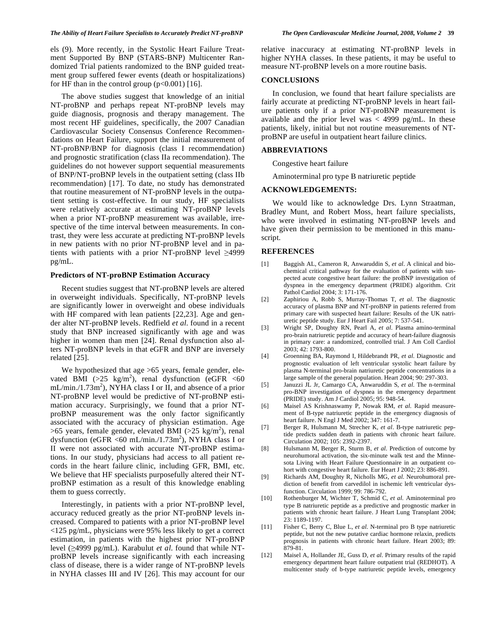els (9). More recently, in the Systolic Heart Failure Treatment Supported By BNP (STARS-BNP) Multicenter Randomized Trial patients randomized to the BNP guided treatment group suffered fewer events (death or hospitalizations) for HF than in the control group  $(p<0.001)$  [16].

The above studies suggest that knowledge of an initial NT-proBNP and perhaps repeat NT-proBNP levels may guide diagnosis, prognosis and therapy management. The most recent HF guidelines, specifically, the 2007 Canadian Cardiovascular Society Consensus Conference Recommendations on Heart Failure, support the initial measurement of NT-proBNP/BNP for diagnosis (class I recommendation) and prognostic stratification (class IIa recommendation). The guidelines do not however support sequential measurements of BNP/NT-proBNP levels in the outpatient setting (class IIb recommendation) [17]. To date, no study has demonstrated that routine measurement of NT-proBNP levels in the outpatient setting is cost-effective. In our study, HF specialists were relatively accurate at estimating NT-proBNP levels when a prior NT-proBNP measurement was available, irrespective of the time interval between measurements. In contrast, they were less accurate at predicting NT-proBNP levels in new patients with no prior NT-proBNP level and in patients with patients with a prior NT-proBNP level  $\geq$ 4999 pg/mL.

## **Predictors of NT-proBNP Estimation Accuracy**

Recent studies suggest that NT-proBNP levels are altered in overweight individuals. Specifically, NT-proBNP levels are significantly lower in overweight and obese individuals with HF compared with lean patients [22,23]. Age and gender alter NT-proBNP levels. Redfield *et al*. found in a recent study that BNP increased significantly with age and was higher in women than men [24]. Renal dysfunction also alters NT-proBNP levels in that eGFR and BNP are inversely related [25].

We hypothesized that age  $>65$  years, female gender, elevated BMI (>25 kg/m<sup>2</sup>), renal dysfunction (eGFR <60  $mL/min. / 1.73m<sup>2</sup>$ ), NYHA class I or II, and absence of a prior NT-proBNP level would be predictive of NT-proBNP estimation accuracy. Surprisingly, we found that a prior NTproBNP measurement was the only factor significantly associated with the accuracy of physician estimation. Age  $>65$  years, female gender, elevated BMI ( $>25$  kg/m<sup>2</sup>), renal dysfunction (eGFR <60 mL/min./1.73m<sup>2</sup>), NYHA class I or II were not associated with accurate NT-proBNP estimations. In our study, physicians had access to all patient records in the heart failure clinic, including GFR, BMI, etc. We believe that HF specialists purposefully altered their NTproBNP estimation as a result of this knowledge enabling them to guess correctly.

Interestingly, in patients with a prior NT-proBNP level, accuracy reduced greatly as the prior NT-proBNP levels increased. Compared to patients with a prior NT-proBNP level <125 pg/mL, physicians were 95% less likely to get a correct estimation, in patients with the highest prior NT-proBNP level (4999 pg/mL). Karabulut *et al*. found that while NTproBNP levels increase significantly with each increasing class of disease, there is a wider range of NT-proBNP levels in NYHA classes III and IV [26]. This may account for our relative inaccuracy at estimating NT-proBNP levels in higher NYHA classes. In these patients, it may be useful to measure NT-proBNP levels on a more routine basis.

#### **CONCLUSIONS**

In conclusion, we found that heart failure specialists are fairly accurate at predicting NT-proBNP levels in heart failure patients only if a prior NT-proBNP measurement is available and the prior level was  $<$  4999 pg/mL. In these patients, likely, initial but not routine measurements of NTproBNP are useful in outpatient heart failure clinics.

#### **ABBREVIATIONS**

Congestive heart failure

Aminoterminal pro type B natriuretic peptide

### **ACKNOWLEDGEMENTS:**

We would like to acknowledge Drs. Lynn Straatman, Bradley Munt, and Robert Moss, heart failure specialists, who were involved in estimating NT-proBNP levels and have given their permission to be mentioned in this manuscript.

#### **REFERENCES**

- [1] Baggish AL, Cameron R, Anwaruddin S, *et al*. A clinical and biochemical critical pathway for the evaluation of patients with suspected acute congestive heart failure: the proBNP investigation of dyspnea in the emergency department (PRIDE) algorithm. Crit Pathol Cardiol 2004; 3: 171-176.
- [2] Zaphiriou A, Robb S, Murray-Thomas T, *et al*. The diagnostic accuracy of plasma BNP and NT-proBNP in patients referred from primary care with suspected heart failure: Results of the UK natriuretic peptide study. Eur J Heart Fail 2005; 7: 537-541.
- [3] Wright SP, Doughty RN, Pearl A, *et al*. Plasma amino-terminal pro-brain natriuretic peptide and accuracy of heart-failure diagnosis in primary care: a randomized, controlled trial. J Am Coll Cardiol 2003; 42: 1793-800.
- [4] Groenning BA, Raymond I, Hildebrandt PR, *et al*. Diagnostic and prognostic evaluation of left ventricular systolic heart failure by plasma N-terminal pro-brain natriuretic peptide concentrations in a large sample of the general population. Heart 2004; 90: 297-303.
- [5] Januzzi JL Jr, Camargo CA, Anwaruddin S, *et al*. The n-terminal pro-BNP investigation of dyspnea in the emergency department (PRIDE) study. Am J Cardiol 2005; 95: 948-54.
- [6] Maisel AS Krishnaswamy P, Nowak RM, *et al*. Rapid measurement of B-type natriuretic peptide in the emergency diagnosis of heart failure. N Engl J Med 2002; 347: 161-7.
- [7] Berger R, Hulsmann M, Strecher K, *et al*. B-type natriuretic peptide predicts sudden death in patients with chronic heart failure. Circulation 2002; 105: 2392-2397.
- [8] Hulsmann M, Berger R, Sturm B, *et al*. Prediction of outcome by neurohumoral activation, the six-minute walk test and the Minnesota Living with Heart Failure Questionnaire in an outpatient cohort with congestive heart failure. Eur Heart J 2002; 23: 886-891.
- [9] Richards AM, Doughty R, Nicholls MG, *et al*. Neurohumoral prediction of benefit from carvedilol in ischemic left ventricular dysfunction. Circulation 1999; 99: 786-792.
- [10] Rothenburger M, Wichter T, Schmid C, *et al*. Aminoterminal pro type B natriuretic peptide as a predictive and prognostic marker in patients with chronic heart failure. J Heart Lung Transplant 2004; 23: 1189-1197.
- [11] Fisher C, Berry C, Blue L, *et al*. N-terminal pro B type natriuretic peptide, but not the new putative cardiac hormone relaxin, predicts prognosis in patients with chronic heart failure. Heart 2003; 89: 879-81.
- [12] Maisel A, Hollander JE, Guss D, *et al*. Primary results of the rapid emergency department heart failure outpatient trial (REDHOT). A multicenter study of b-type natriuretic peptide levels, emergency